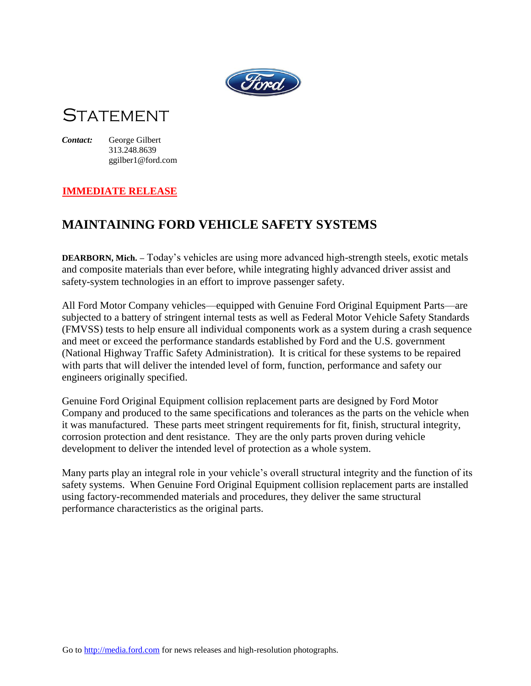

## **STATEMENT**

*Contact:* George Gilbert 313.248.8639 ggilber1@ford.com

## **IMMEDIATE RELEASE**

## **MAINTAINING FORD VEHICLE SAFETY SYSTEMS**

**DEARBORN, Mich. –** Today's vehicles are using more advanced high-strength steels, exotic metals and composite materials than ever before, while integrating highly advanced driver assist and safety-system technologies in an effort to improve passenger safety.

All Ford Motor Company vehicles—equipped with Genuine Ford Original Equipment Parts—are subjected to a battery of stringent internal tests as well as Federal Motor Vehicle Safety Standards (FMVSS) tests to help ensure all individual components work as a system during a crash sequence and meet or exceed the performance standards established by Ford and the U.S. government (National Highway Traffic Safety Administration). It is critical for these systems to be repaired with parts that will deliver the intended level of form, function, performance and safety our engineers originally specified.

Genuine Ford Original Equipment collision replacement parts are designed by Ford Motor Company and produced to the same specifications and tolerances as the parts on the vehicle when it was manufactured. These parts meet stringent requirements for fit, finish, structural integrity, corrosion protection and dent resistance. They are the only parts proven during vehicle development to deliver the intended level of protection as a whole system.

Many parts play an integral role in your vehicle's overall structural integrity and the function of its safety systems. When Genuine Ford Original Equipment collision replacement parts are installed using factory-recommended materials and procedures, they deliver the same structural performance characteristics as the original parts.